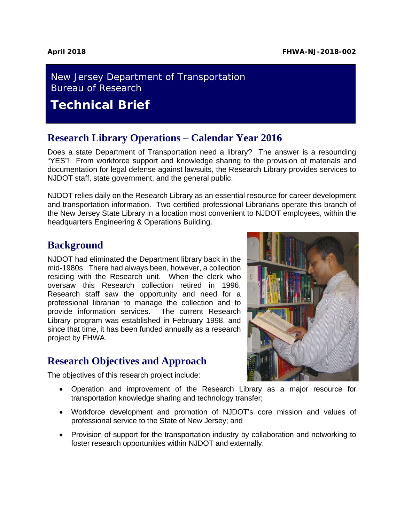### New Jersey Department of Transportation Bureau of Research

**Technical Brief**

#### **Research Library Operations – Calendar Year 2016**

Does a state Department of Transportation need a library? The answer is a resounding "YES"! From workforce support and knowledge sharing to the provision of materials and documentation for legal defense against lawsuits, the Research Library provides services to NJDOT staff, state government, and the general public.

NJDOT relies daily on the Research Library as an essential resource for career development and transportation information. Two certified professional Librarians operate this branch of the New Jersey State Library in a location most convenient to NJDOT employees, within the headquarters Engineering & Operations Building.

#### **Background**

NJDOT had eliminated the Department library back in the mid-1980s. There had always been, however, a collection residing with the Research unit. When the clerk who oversaw this Research collection retired in 1996, Research staff saw the opportunity and need for a professional librarian to manage the collection and to provide information services. The current Research Library program was established in February 1998, and since that time, it has been funded annually as a research project by FHWA.

## **Research Objectives and Approach**

The objectives of this research project include:



- Operation and improvement of the Research Library as a major resource for transportation knowledge sharing and technology transfer;
- Workforce development and promotion of NJDOT's core mission and values of professional service to the State of New Jersey; and
- Provision of support for the transportation industry by collaboration and networking to foster research opportunities within NJDOT and externally.